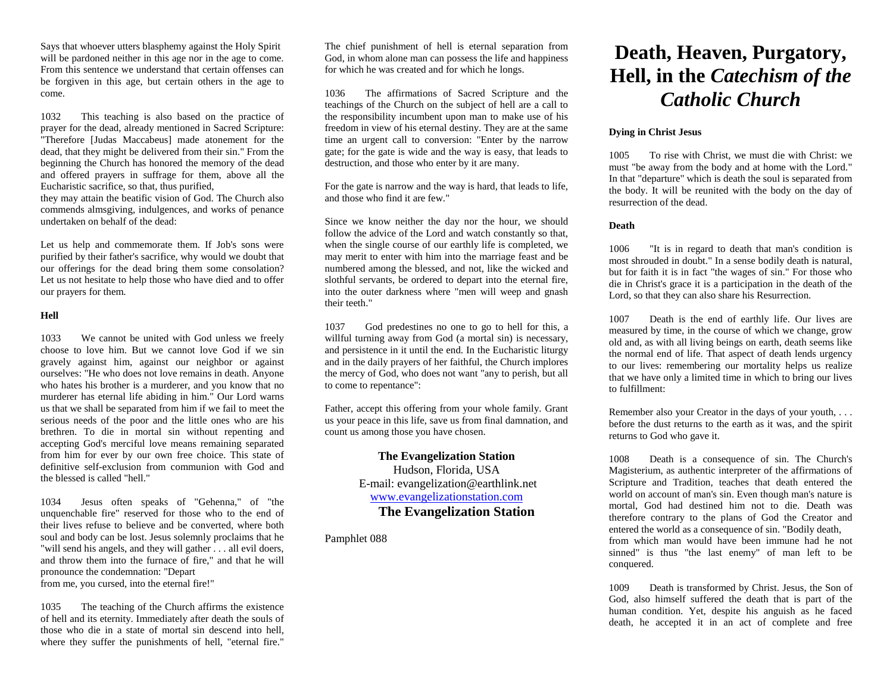Says that whoever utters blasphemy against the Holy Spirit will be pardoned neither in this age nor in the age to come. From this sentence we understand that certain offenses can be forgiven in this age, but certain others in the age to come.

1032 This teaching is also based on the practice of prayer for the dead, already mentioned in Sacred Scripture: "Therefore [Judas Maccabeus] made atonement for the dead, that they might be delivered from their sin." From the beginning the Church has honored the memory of the dead and offered prayers in suffrage for them, above all the Eucharistic sacrifice, so that, thus purified,

they may attain the beatific vision of God. The Church also commends almsgiving, indulgences, and works of penance undertaken on behalf of the dead:

Let us help and commemorate them. If Job's sons were purified by their father's sacrifice, why would we doubt that our offerings for the dead bring them some consolation? Let us not hesitate to help those who have died and to offer our prayers for them.

#### **Hell**

1033 We cannot be united with God unless we freely choose to love him. But we cannot love God if we sin gravely against him, against our neighbor or against ourselves: "He who does not love remains in death. Anyone who hates his brother is a murderer, and you know that no murderer has eternal life abiding in him." Our Lord warns us that we shall be separated from him if we fail to meet the serious needs of the poor and the little ones who are his brethren. To die in mortal sin without repenting and accepting God's merciful love means remaining separated from him for ever by our own free choice. This state of definitive self-exclusion from communion with God and the blessed is called "hell."

1034 Jesus often speaks of "Gehenna," of "the unquenchable fire" reserved for those who to the end of their lives refuse to believe and be converted, where both soul and body can be lost. Jesus solemnly proclaims that he "will send his angels, and they will gather . . . all evil doers, and throw them into the furnace of fire," and that he will pronounce the condemnation: "Depart from me, you cursed, into the eternal fire!"

1035 The teaching of the Church affirms the existence of hell and its eternity. Immediately after death the souls of those who die in a state of mortal sin descend into hell, where they suffer the punishments of hell, "eternal fire."

The chief punishment of hell is eternal separation from God, in whom alone man can possess the life and happiness for which he was created and for which he longs.

1036 The affirmations of Sacred Scripture and the teachings of the Church on the subject of hell are a call to the responsibility incumbent upon man to make use of his freedom in view of his eternal destiny. They are at the same time an urgent call to conversion: "Enter by the narrow gate; for the gate is wide and the way is easy, that leads to destruction, and those who enter by it are many.

For the gate is narrow and the way is hard, that leads to life, and those who find it are few."

Since we know neither the day nor the hour, we should follow the advice of the Lord and watch constantly so that, when the single course of our earthly life is completed, we may merit to enter with him into the marriage feast and be numbered among the blessed, and not, like the wicked and slothful servants, be ordered to depart into the eternal fire, into the outer darkness where "men will weep and gnash their teeth."

1037 God predestines no one to go to hell for this, a willful turning away from God (a mortal sin) is necessary, and persistence in it until the end. In the Eucharistic liturgy and in the daily prayers of her faithful, the Church implores the mercy of God, who does not want "any to perish, but all to come to repentance":

Father, accept this offering from your whole family. Grant us your peace in this life, save us from final damnation, and count us among those you have chosen.

> **The Evangelization Station** Hudson, Florida, USA E-mail: evangelization@earthlink.net [www.evangelizationstation.com](http://www.pjpiisoe.org/) **The Evangelization Station**

Pamphlet 088

# **Death, Heaven, Purgatory, Hell, in the** *Catechism of the Catholic Church*

# **Dying in Christ Jesus**

1005 To rise with Christ, we must die with Christ: we must "be away from the body and at home with the Lord." In that "departure" which is death the soul is separated from the body. It will be reunited with the body on the day of resurrection of the dead.

### **Death**

1006 "It is in regard to death that man's condition is most shrouded in doubt." In a sense bodily death is natural, but for faith it is in fact "the wages of sin." For those who die in Christ's grace it is a participation in the death of the Lord, so that they can also share his Resurrection.

1007 Death is the end of earthly life. Our lives are measured by time, in the course of which we change, grow old and, as with all living beings on earth, death seems like the normal end of life. That aspect of death lends urgency to our lives: remembering our mortality helps us realize that we have only a limited time in which to bring our lives to fulfillment:

Remember also your Creator in the days of your youth, . . . before the dust returns to the earth as it was, and the spirit returns to God who gave it.

1008 Death is a consequence of sin. The Church's Magisterium, as authentic interpreter of the affirmations of Scripture and Tradition, teaches that death entered the world on account of man's sin. Even though man's nature is mortal, God had destined him not to die. Death was therefore contrary to the plans of God the Creator and entered the world as a consequence of sin. "Bodily death, from which man would have been immune had he not sinned" is thus "the last enemy" of man left to be conquered.

1009 Death is transformed by Christ. Jesus, the Son of God, also himself suffered the death that is part of the human condition. Yet, despite his anguish as he faced death, he accepted it in an act of complete and free